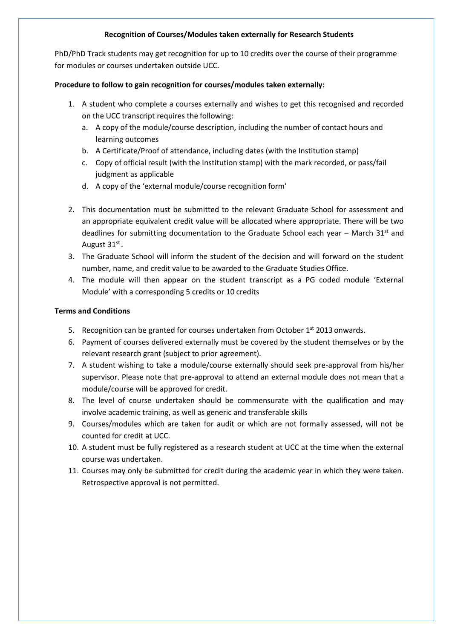## **Recognition of Courses/Modules taken externally for Research Students**

PhD/PhD Track students may get recognition for up to 10 credits over the course of their programme for modules or courses undertaken outside UCC.

### **Procedure to follow to gain recognition for courses/modules taken externally:**

- 1. A student who complete a courses externally and wishes to get this recognised and recorded on the UCC transcript requires the following:
	- a. A copy of the module/course description, including the number of contact hours and learning outcomes
	- b. A Certificate/Proof of attendance, including dates (with the Institution stamp)
	- c. Copy of official result (with the Institution stamp) with the mark recorded, or pass/fail judgment as applicable
	- d. A copy of the 'external module/course recognition form'
- 2. This documentation must be submitted to the relevant Graduate School for assessment and an appropriate equivalent credit value will be allocated where appropriate. There will be two deadlines for submitting documentation to the Graduate School each year – March  $31<sup>st</sup>$  and August 31st.
- 3. The Graduate School will inform the student of the decision and will forward on the student number, name, and credit value to be awarded to the Graduate Studies Office.
- 4. The module will then appear on the student transcript as a PG coded module 'External Module' with a corresponding 5 credits or 10 credits

## **Terms and Conditions**

- 5. Recognition can be granted for courses undertaken from October  $1^{st}$  2013 onwards.
- 6. Payment of courses delivered externally must be covered by the student themselves or by the relevant research grant (subject to prior agreement).
- 7. A student wishing to take a module/course externally should seek pre-approval from his/her supervisor. Please note that pre-approval to attend an external module does not mean that a module/course will be approved for credit.
- 8. The level of course undertaken should be commensurate with the qualification and may involve academic training, as well as generic and transferable skills
- 9. Courses/modules which are taken for audit or which are not formally assessed, will not be counted for credit at UCC.
- 10. A student must be fully registered as a research student at UCC at the time when the external course was undertaken.
- 11. Courses may only be submitted for credit during the academic year in which they were taken. Retrospective approval is not permitted.